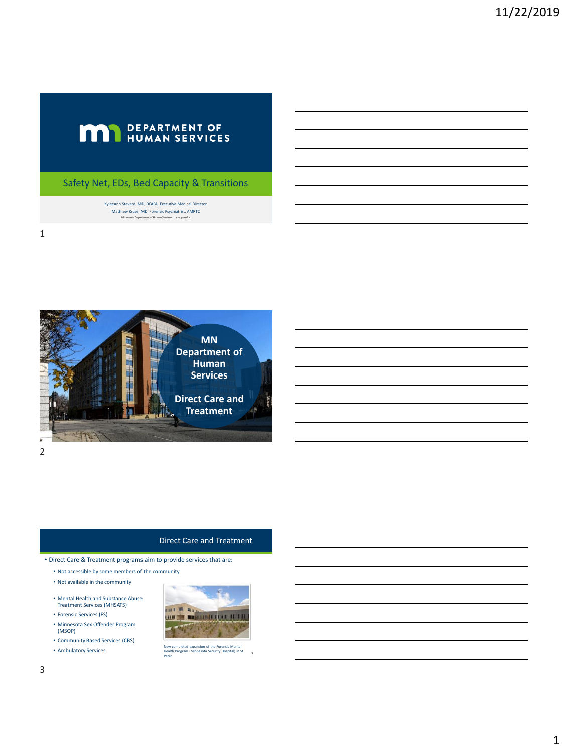# **MAN** DEPARTMENT OF

Safety Net, EDs, Bed Capacity & Transitions

KyleeAnn Stevens, MD, DFAPA, Executive Medical Director Matthew Kruse, MD, Forensic Psychiatrist, AMRTC Minnesota Department of Human Services | mn.gov/dhs



## 2

#### Direct Care and Treatment

• Direct Care & Treatment programs aim to provide services that are:

- Not accessible by some members of the community
- Not available in the community
- Mental Health and Substance Abuse Treatment Services (MHSATS)
- Forensic Services (FS)
- Minnesota Sex Offender Program (MSOP)
- Community Based Services (CBS)
- Ambulatory Services



New completed expansion of the Forensic Mental Health Program (Minnesota Security Hospital) in St. Peter.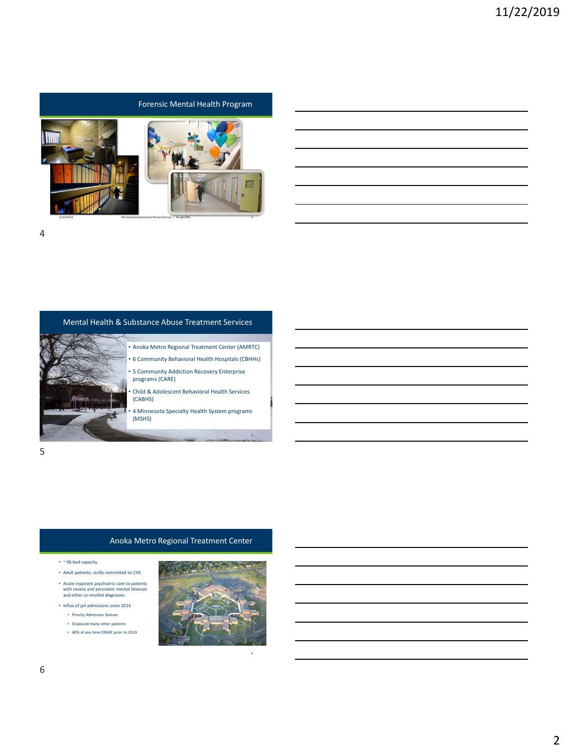

# 4

#### Mental Health & Substance Abuse Treatment Services



# • Anoka Metro Regional Treatment Center (AMRTC) • 6 Community Behavioral Health Hospitals (CBHHs)

- 5 Community Addiction Recovery Enterprise programs (CARE)
- Child & Adolescent Behavioral Health Services (CABHS)
- 4 Minnesota Specialty Health System programs (MSHS)

5

# Anoka Metro Regional Treatment Center

- $~^{\circ}$  96 bed capacity.
- Adult patients, civilly committed to CHS. • Acute inpatient psychiatric care to patients with severe and persistent mental illnesses and other co-morbid diagnoses.
- Influx of jail admissions since 2014
	- Priority Admission Statute
	- Displaced many other patients
	- 40% at any time DNMC prior to 2019



6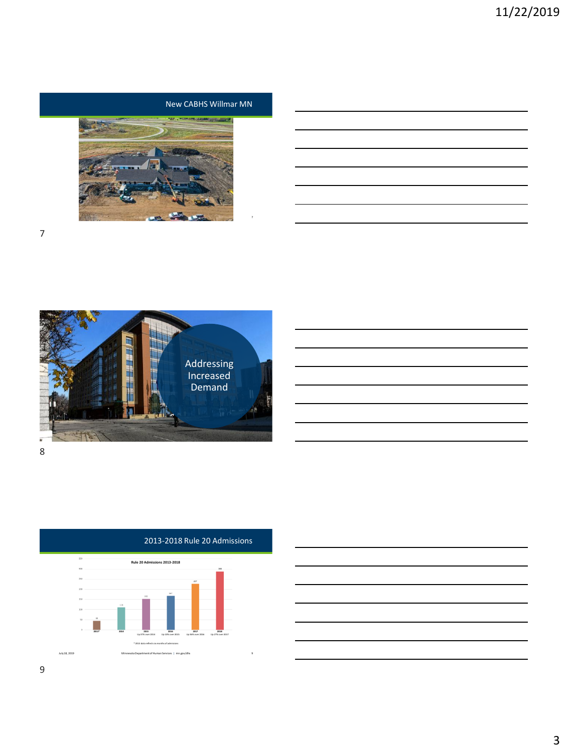# New CABHS Willmar MN







# 2013-2018 Rule 20 Admissions

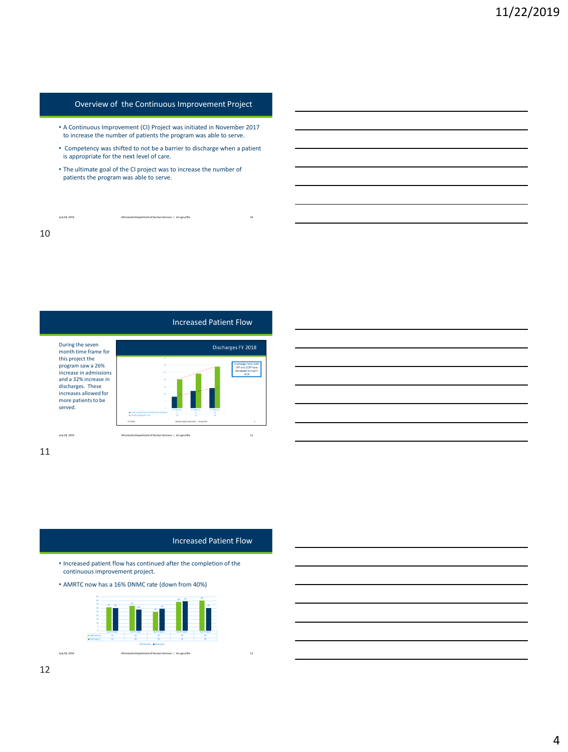## Overview of the Continuous Improvement Project

- A Continuous Improvement (CI) Project was initiated in November 2017 to increase the number of patients the program was able to serve.
- Competency was shifted to not be a barrier to discharge when a patient is appropriate for the next level of care.
- The ultimate goal of the CI project was to increase the number of patients the program was able to serve.

July 18, 2019 Minnesota Department of Human Services | mn.gov/dhs 10 10



#### 11

#### Increased Patient Flow

• Increased patient flow has continued after the completion of the continuous improvement project.

• AMRTC now has a 16% DNMC rate (down from 40%)



July 18, 2019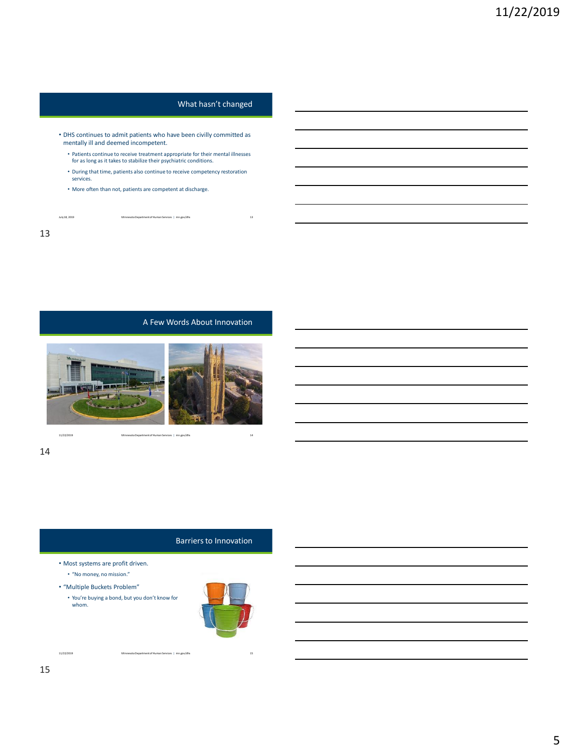# What hasn't changed

- DHS continues to admit patients who have been civilly committed as mentally ill and deemed incompetent.
	- Patients continue to receive treatment appropriate for their mental illnesses for as long as it takes to stabilize their psychiatric conditions.
	- During that time, patients also continue to receive competency restoration services.
	- More often than not, patients are competent at discharge.

July 18, 2019 Minnesota Department of Human Services | mn.gov/dhs 13

13

A Few Words About Innovation



11/22/2019 Minnesota Department of Human Services | mn.gov/dhs 14

#### 14

### Barriers to Innovation

- Most systems are profit driven.
	- "No money, no mission."
- "Multiple Buckets Problem"
	- You're buying a bond, but you don't know for whom.

11/22/2019 Minnesota Department of Human Services | mn.gov/dhs